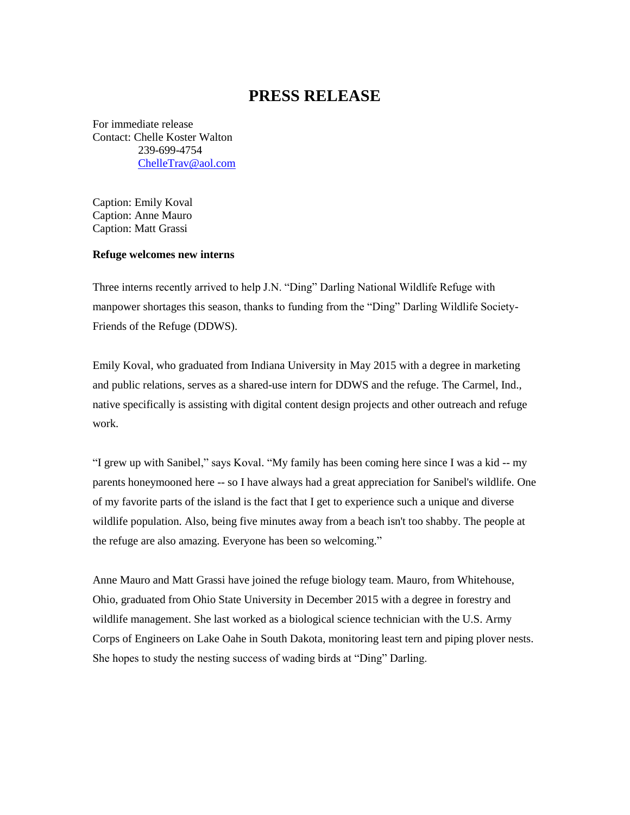## **PRESS RELEASE**

For immediate release Contact: Chelle Koster Walton 239-699-4754 [ChelleTrav@aol.com](mailto:ChelleTrav@aol.com)

Caption: Emily Koval Caption: Anne Mauro Caption: Matt Grassi

## **Refuge welcomes new interns**

Three interns recently arrived to help J.N. "Ding" Darling National Wildlife Refuge with manpower shortages this season, thanks to funding from the "Ding" Darling Wildlife Society-Friends of the Refuge (DDWS).

Emily Koval, who graduated from Indiana University in May 2015 with a degree in marketing and public relations, serves as a shared-use intern for DDWS and the refuge. The Carmel, Ind., native specifically is assisting with digital content design projects and other outreach and refuge work.

"I grew up with Sanibel," says Koval. "My family has been coming here since I was a kid -- my parents honeymooned here -- so I have always had a great appreciation for Sanibel's wildlife. One of my favorite parts of the island is the fact that I get to experience such a unique and diverse wildlife population. Also, being five minutes away from a beach isn't too shabby. The people at the refuge are also amazing. Everyone has been so welcoming."

Anne Mauro and Matt Grassi have joined the refuge biology team. Mauro, from Whitehouse, Ohio, graduated from Ohio State University in December 2015 with a degree in forestry and wildlife management. She last worked as a biological science technician with the U.S. Army Corps of Engineers on Lake Oahe in South Dakota, monitoring least tern and piping plover nests. She hopes to study the nesting success of wading birds at "Ding" Darling.